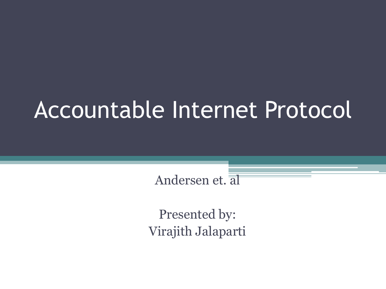# Accountable Internet Protocol

Andersen et. al

Presented by: Virajith Jalaparti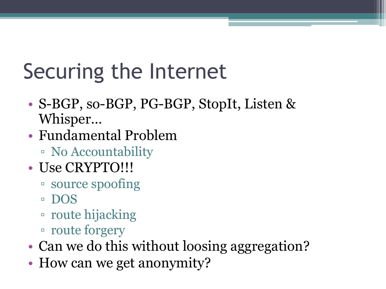# Securing the Internet

- S-BGP, so-BGP, PG-BGP, StopIt, Listen & Whisper…
- Fundamental Problem
	- No Accountability
- Use CRYPTO!!!
	- source spoofing
	- DOS
	- route hijacking
	- route forgery
- Can we do this without loosing aggregation?
- How can we get anonymity?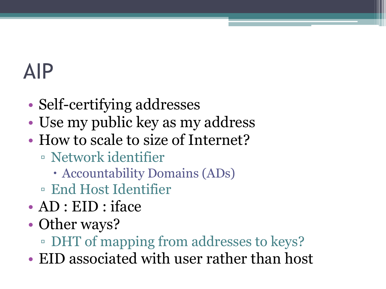#### AIP

- Self-certifying addresses
- Use my public key as my address
- How to scale to size of Internet?
	- Network identifier
		- Accountability Domains (ADs)
	- End Host Identifier
- AD : EID : iface
- Other ways?
	- DHT of mapping from addresses to keys?
- EID associated with user rather than host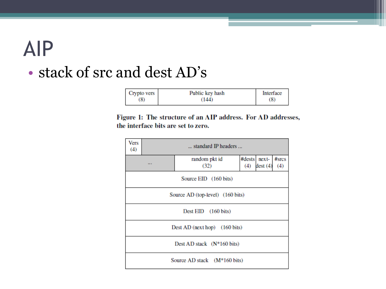#### AIP

#### • stack of src and dest AD's

| Crypto vers | Public key hash | Interface |
|-------------|-----------------|-----------|
| (8)         | (144)           | (8)       |

Figure 1: The structure of an AIP address. For AD addresses, the interface bits are set to zero.

| Vers<br>(4)                                                                       | standard IP headers                     |                       |     |                         |                 |  |  |  |
|-----------------------------------------------------------------------------------|-----------------------------------------|-----------------------|-----|-------------------------|-----------------|--|--|--|
|                                                                                   |                                         | random pkt id<br>(32) | (4) | #dests next-<br>dest(4) | $#$ srcs<br>(4) |  |  |  |
|                                                                                   | Source EID (160 bits)                   |                       |     |                         |                 |  |  |  |
|                                                                                   | Source AD (top-level) (160 bits)        |                       |     |                         |                 |  |  |  |
|                                                                                   | Dest EID (160 bits)                     |                       |     |                         |                 |  |  |  |
|                                                                                   | Dest AD (next hop) $(160 \text{ bits})$ |                       |     |                         |                 |  |  |  |
| Dest AD stack $(N*160 \text{ bits})$<br>Source AD stack (M <sup>*</sup> 160 bits) |                                         |                       |     |                         |                 |  |  |  |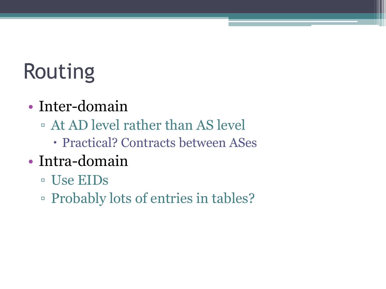# Routing

- Inter-domain
	- At AD level rather than AS level
		- Practical? Contracts between ASes
- Intra-domain
	- Use EIDs
	- Probably lots of entries in tables?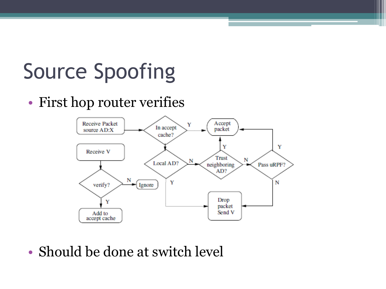# Source Spoofing

• First hop router verifies



• Should be done at switch level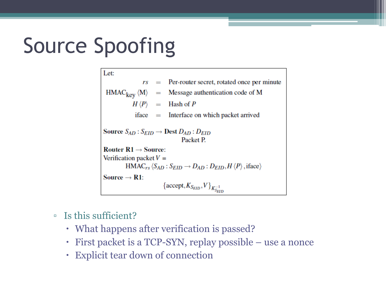# Source Spoofing

Let:  $=$  Per-router secret, rotated once per minute rs  $HMAC_{\text{keV}} \langle M \rangle$ Message authentication code of M  $=$  $H \langle P \rangle$  $=$  Hash of P  $\text{iface} = \text{Interface on which packet arrived}$ Source  $S_{AD}$ :  $S_{EID} \rightarrow$  Dest  $D_{AD}$ :  $D_{EID}$ Packet P. Router  $R1 \rightarrow$  Source: Verification packet  $V =$  $HMAC_{rs} \langle S_{AD} : S_{EID} \rightarrow D_{AD} : D_{EID}, H \langle P \rangle$ , iface) Source  $\rightarrow$  R1:  $\left\{\text{accept}, K_{S_{EID}}, V\right\}_{K_{S_{EID}}^{-1}}$ 

- Is this sufficient?
	- What happens after verification is passed?
	- First packet is a TCP-SYN, replay possible use a nonce
	- Explicit tear down of connection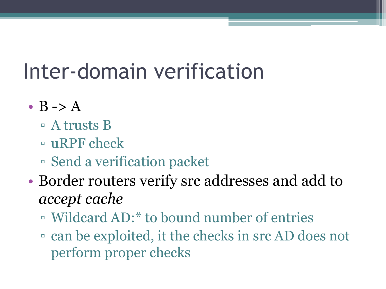# Inter-domain verification

- $B \rightarrow A$ 
	- A trusts B
	- uRPF check
	- Send a verification packet
- Border routers verify src addresses and add to *accept cache*
	- Wildcard AD:\* to bound number of entries
	- can be exploited, it the checks in src AD does not perform proper checks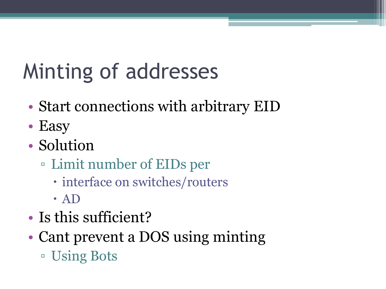# Minting of addresses

- Start connections with arbitrary EID
- Easy
- Solution
	- Limit number of EIDs per
		- interface on switches/routers
		- AD
- Is this sufficient?
- Cant prevent a DOS using minting ▫ Using Bots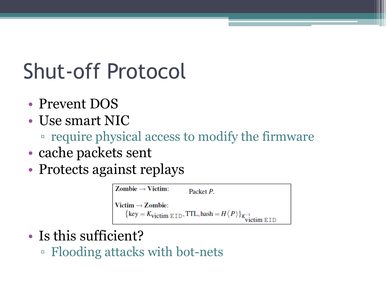### Shut-off Protocol

- Prevent DOS
- Use smart NIC
	- require physical access to modify the firmware
- cache packets sent
- Protects against replays



- Is this sufficient?
	- Flooding attacks with bot-nets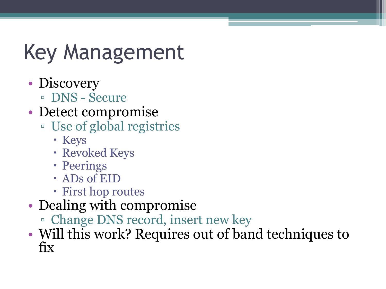# Key Management

- Discovery
	- DNS Secure
- Detect compromise
	- Use of global registries
		- Keys
		- Revoked Keys
		- Peerings
		- ADs of EID
		- First hop routes
- Dealing with compromise
	- Change DNS record, insert new key
- Will this work? Requires out of band techniques to fix